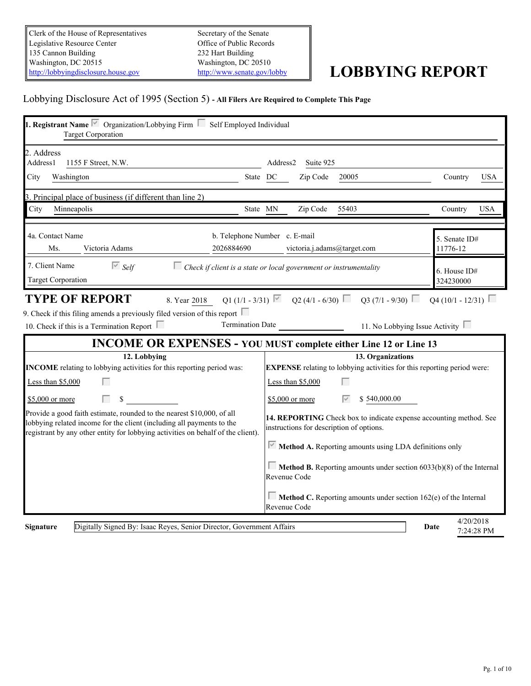Clerk of the House of Representatives Legislative Resource Center 135 Cannon Building Washington, DC 20515 <http://lobbyingdisclosure.house.gov>

Secretary of the Senate Office of Public Records 232 Hart Building Washington, DC 20510

# <http://www.senate.gov/lobby> **LOBBYING REPORT**

# Lobbying Disclosure Act of 1995 (Section 5) **- All Filers Are Required to Complete This Page**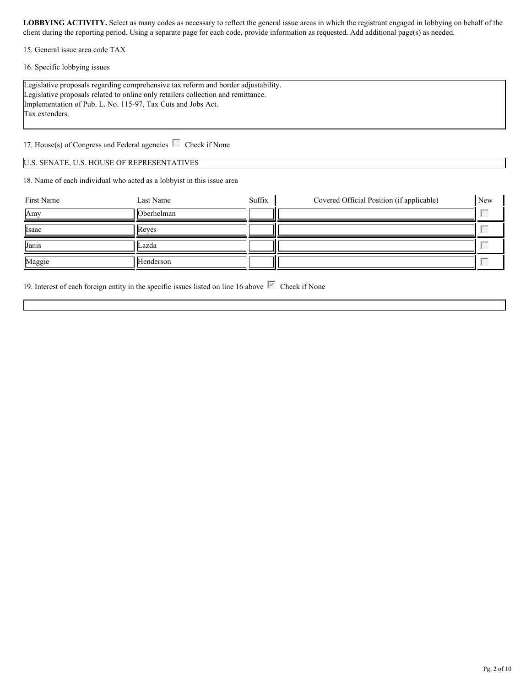15. General issue area code TAX

16. Specific lobbying issues

Legislative proposals regarding comprehensive tax reform and border adjustability. Legislative proposals related to online only retailers collection and remittance. Implementation of Pub. L. No. 115-97, Tax Cuts and Jobs Act. Tax extenders.

17. House(s) of Congress and Federal agencies  $\Box$  Check if None

#### U.S. SENATE, U.S. HOUSE OF REPRESENTATIVES

18. Name of each individual who acted as a lobbyist in this issue area

| First Name | Last Name  | Suffix | Covered Official Position (if applicable) | New |  |
|------------|------------|--------|-------------------------------------------|-----|--|
| Amy        | Oberhelman |        |                                           |     |  |
| Isaac      | Reves      |        |                                           |     |  |
| Janis      | _azda      |        |                                           |     |  |
| Maggie     | Henderson  |        |                                           |     |  |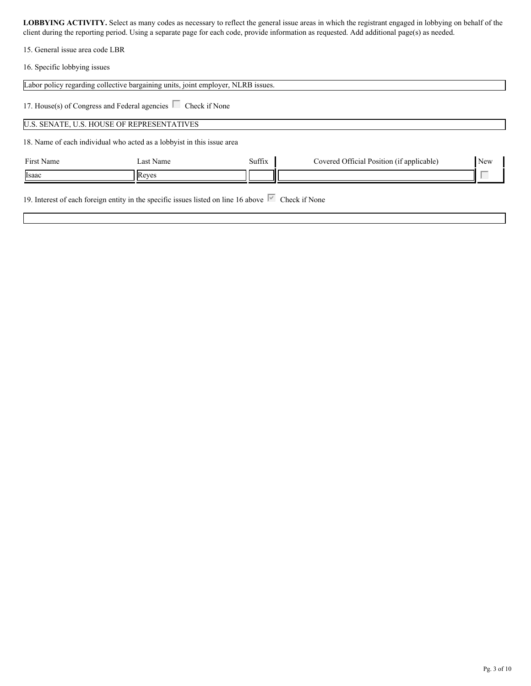15. General issue area code LBR

16. Specific lobbying issues

|            | Labor policy regarding collective bargaining units, joint employer, NLRB issues. |        |                                           |     |
|------------|----------------------------------------------------------------------------------|--------|-------------------------------------------|-----|
|            | 17. House(s) of Congress and Federal agencies $\Box$ Check if None               |        |                                           |     |
|            | U.S. SENATE, U.S. HOUSE OF REPRESENTATIVES                                       |        |                                           |     |
|            | 18. Name of each individual who acted as a lobby ist in this issue area          |        |                                           |     |
| First Name | Last Name                                                                        | Suffix | Covered Official Position (if applicable) | New |
| Isaac      | Reves                                                                            |        |                                           |     |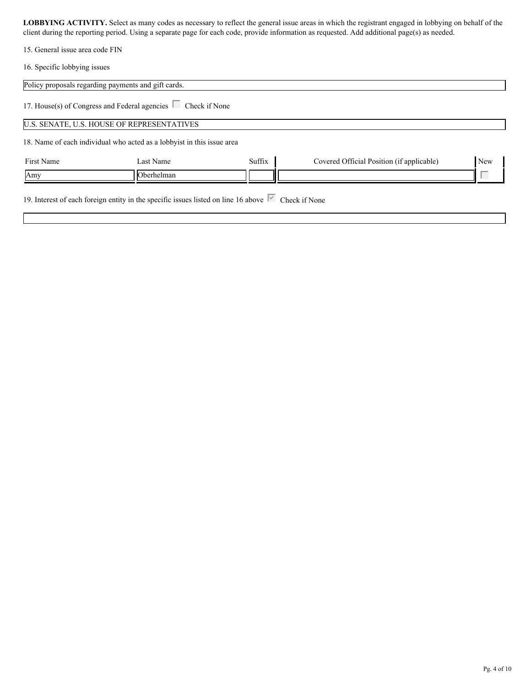15. General issue area code FIN

16. Specific lobbying issues

|            | Policy proposals regarding payments and gift cards.                    |        |                                           |     |
|------------|------------------------------------------------------------------------|--------|-------------------------------------------|-----|
|            | 17. House(s) of Congress and Federal agencies $\Box$ Check if None     |        |                                           |     |
|            | U.S. SENATE, U.S. HOUSE OF REPRESENTATIVES                             |        |                                           |     |
|            | 18. Name of each individual who acted as a lobbyist in this issue area |        |                                           |     |
| First Name | Last Name                                                              | Suffix | Covered Official Position (if applicable) | New |
| Amy        | Oberhelman                                                             |        |                                           |     |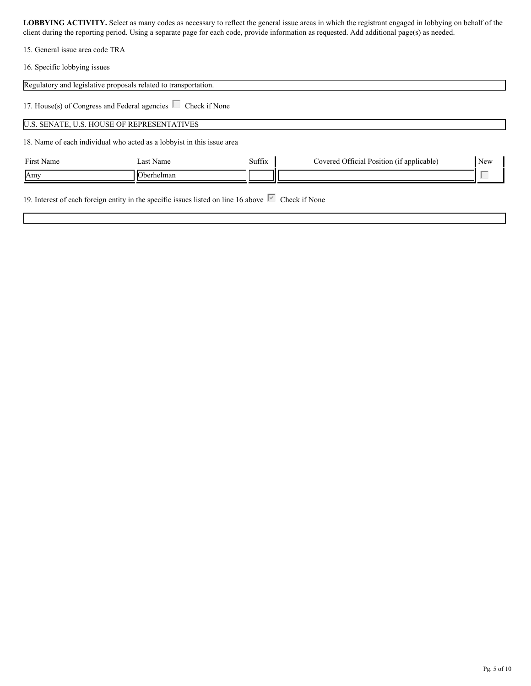15. General issue area code TRA

16. Specific lobbying issues

|            | Regulatory and legislative proposals related to transportation.        |        |                                           |     |
|------------|------------------------------------------------------------------------|--------|-------------------------------------------|-----|
|            | 17. House(s) of Congress and Federal agencies $\Box$ Check if None     |        |                                           |     |
|            | U.S. SENATE, U.S. HOUSE OF REPRESENTATIVES                             |        |                                           |     |
|            | 18. Name of each individual who acted as a lobbyist in this issue area |        |                                           |     |
| First Name | Last Name                                                              | Suffix | Covered Official Position (if applicable) | New |
| Amy        | Oberhelman                                                             |        |                                           |     |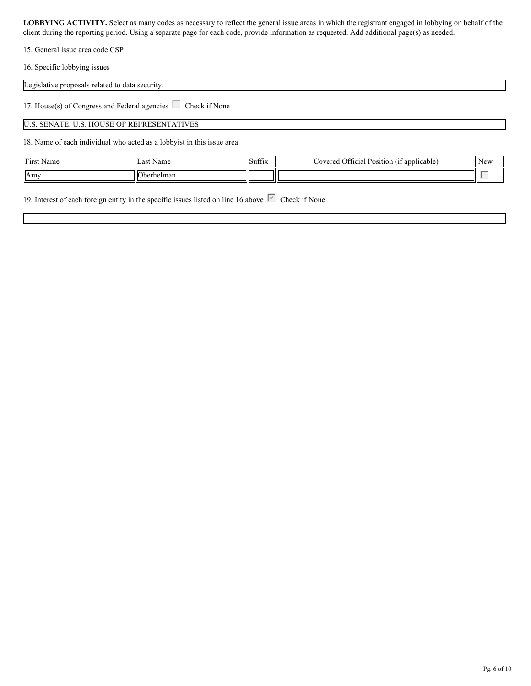15. General issue area code CSP

16. Specific lobbying issues

| Legislative proposals related to data security. |                                                                        |        |                                           |     |
|-------------------------------------------------|------------------------------------------------------------------------|--------|-------------------------------------------|-----|
|                                                 | 17. House(s) of Congress and Federal agencies $\Box$ Check if None     |        |                                           |     |
|                                                 | U.S. SENATE, U.S. HOUSE OF REPRESENTATIVES                             |        |                                           |     |
|                                                 | 18. Name of each individual who acted as a lobbyist in this issue area |        |                                           |     |
| First Name                                      | Last Name                                                              | Suffix | Covered Official Position (if applicable) | New |
|                                                 | Oberhelman                                                             |        |                                           |     |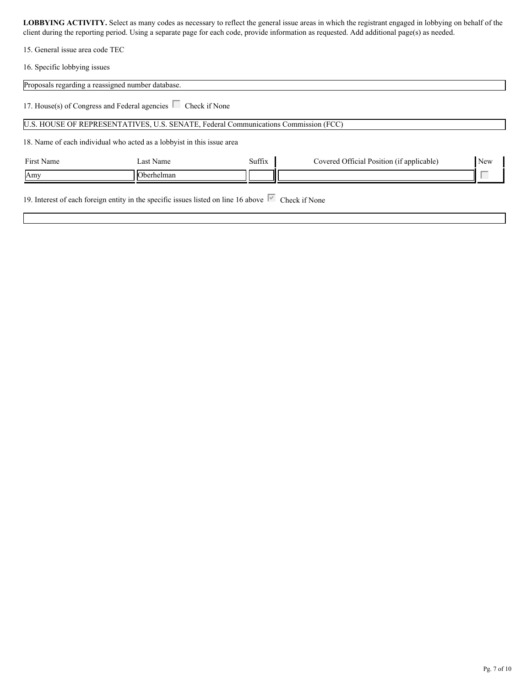15. General issue area code TEC

16. Specific lobbying issues

|            | Proposals regarding a reassigned number database.                                   |        |                                           |     |
|------------|-------------------------------------------------------------------------------------|--------|-------------------------------------------|-----|
|            | 17. House(s) of Congress and Federal agencies $\Box$ Check if None                  |        |                                           |     |
|            | U.S. HOUSE OF REPRESENTATIVES, U.S. SENATE, Federal Communications Commission (FCC) |        |                                           |     |
|            | 18. Name of each individual who acted as a lobbyist in this issue area              |        |                                           |     |
| First Name | Last Name                                                                           | Suffix | Covered Official Position (if applicable) | New |
| Amy        | Oberhelman                                                                          |        |                                           |     |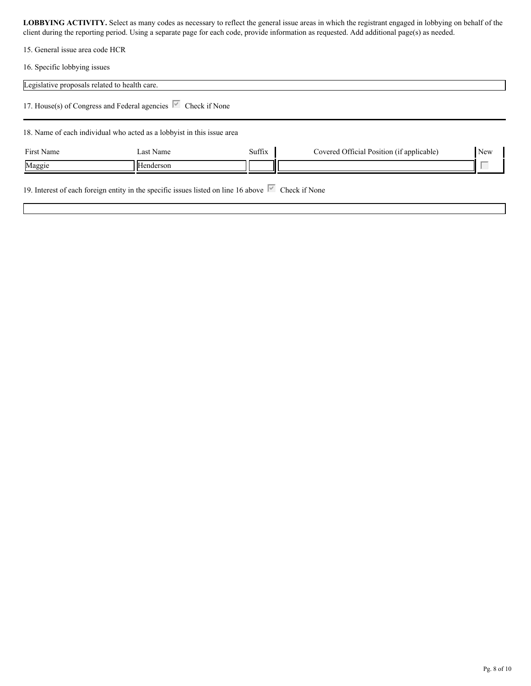15. General issue area code HCR

16. Specific lobbying issues

| Legislative proposals related to health care. |                                                                                        |        |                                           |     |
|-----------------------------------------------|----------------------------------------------------------------------------------------|--------|-------------------------------------------|-----|
|                                               | 17. House(s) of Congress and Federal agencies $\overline{\triangledown}$ Check if None |        |                                           |     |
|                                               | 18. Name of each individual who acted as a lobbyist in this issue area                 |        |                                           |     |
| First Name                                    | Last Name                                                                              | Suffix | Covered Official Position (if applicable) | New |
| Maggie                                        | Henderson                                                                              |        |                                           |     |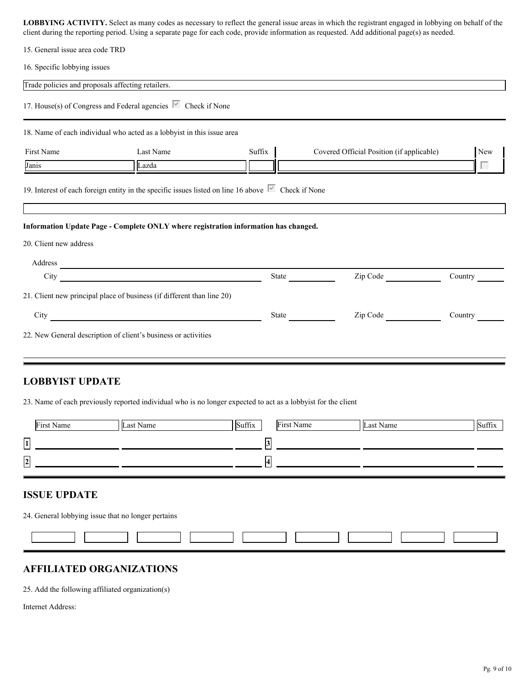|--|

16. Specific lobbying issues

|                                   | 17. House(s) of Congress and Federal agencies $\overline{\triangledown}$ Check if None                                                                                                                             |        |                                           |         |
|-----------------------------------|--------------------------------------------------------------------------------------------------------------------------------------------------------------------------------------------------------------------|--------|-------------------------------------------|---------|
|                                   | 18. Name of each individual who acted as a lobbyist in this issue area                                                                                                                                             |        |                                           |         |
| First Name                        | Last Name                                                                                                                                                                                                          | Suffix | Covered Official Position (if applicable) | New     |
| Janis                             | Lazda                                                                                                                                                                                                              |        |                                           | Г       |
|                                   | 19. Interest of each foreign entity in the specific issues listed on line 16 above $\overline{\triangledown}$ Check if None<br>Information Update Page - Complete ONLY where registration information has changed. |        |                                           |         |
| 20. Client new address<br>Address |                                                                                                                                                                                                                    |        |                                           |         |
| City                              | <u> 1980 - Andrea Andrew Maria (h. 1980).</u>                                                                                                                                                                      | State  | Zip Code No.                              | Country |
|                                   | 21. Client new principal place of business (if different than line 20)                                                                                                                                             |        |                                           |         |

#### **LOBBYIST UPDATE**

23. Name of each previously reported individual who is no longer expected to act as a lobbyist for the client

| First Name              | Last Name | Suffix<br>First Name | Last Name | Suffix |
|-------------------------|-----------|----------------------|-----------|--------|
| $\boxed{1}$             |           |                      |           |        |
| $\overline{\mathbf{2}}$ |           |                      |           |        |

24. General lobbying issue that no longer pertains

### **AFFILIATED ORGANIZATIONS**

25. Add the following affiliated organization(s)

Internet Address: